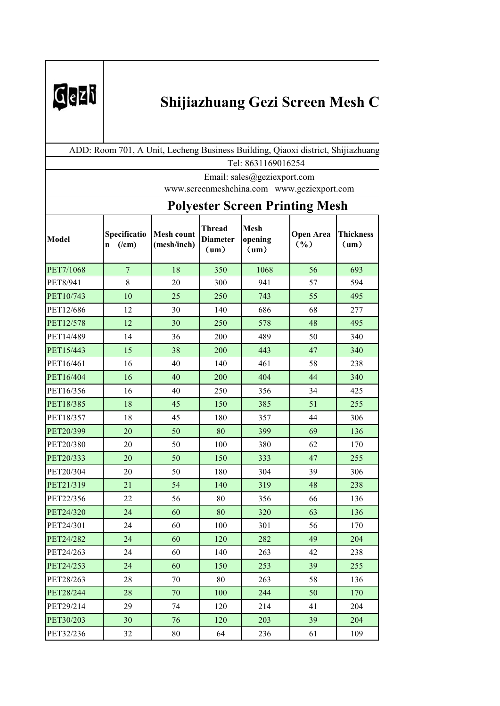

## **Shijiazhuang Gezi Screen Mesh C**

| Tel: 8631169016254 |                                                                                                                                                                                                                                                                                                                                                                                                                                                                                                                                                                                                                                                                                                                                                                                                                                                                                                                                                                                                                                                                               |    |     |     |    |                  |  |
|--------------------|-------------------------------------------------------------------------------------------------------------------------------------------------------------------------------------------------------------------------------------------------------------------------------------------------------------------------------------------------------------------------------------------------------------------------------------------------------------------------------------------------------------------------------------------------------------------------------------------------------------------------------------------------------------------------------------------------------------------------------------------------------------------------------------------------------------------------------------------------------------------------------------------------------------------------------------------------------------------------------------------------------------------------------------------------------------------------------|----|-----|-----|----|------------------|--|
|                    |                                                                                                                                                                                                                                                                                                                                                                                                                                                                                                                                                                                                                                                                                                                                                                                                                                                                                                                                                                                                                                                                               |    |     |     |    |                  |  |
|                    |                                                                                                                                                                                                                                                                                                                                                                                                                                                                                                                                                                                                                                                                                                                                                                                                                                                                                                                                                                                                                                                                               |    |     |     |    |                  |  |
|                    | ADD: Room 701, A Unit, Lecheng Business Building, Qiaoxi district, Shijiazhuang<br>Email: sales@geziexport.com<br>www.screenmeshchina.com www.geziexport.com<br><b>Polyester Screen Printing Mesh</b><br><b>Mesh</b><br><b>Thread</b><br><b>Open Area</b><br>Specificatio<br><b>Mesh count</b><br><b>Diameter</b><br>opening<br>$($ %)<br>$($ /cm $)$<br>(mesh/inch)<br>(um)<br>n<br>(un)<br>(un)<br>350<br>56<br>$\mathcal{T}$<br>18<br>1068<br>8<br>$20\,$<br>941<br>300<br>57<br>10<br>25<br>250<br>743<br>55<br>12<br>30<br>140<br>68<br>686<br>30<br>48<br>12<br>250<br>578<br>14<br>36<br>200<br>489<br>50<br>15<br>38<br>200<br>443<br>47<br>16<br>40<br>140<br>461<br>58<br>40<br>200<br>404<br>44<br>16<br>40<br>250<br>34<br>16<br>356<br>18<br>45<br>150<br>385<br>51<br>18<br>45<br>180<br>44<br>357<br>69<br>20<br>50<br>80<br>399<br>20<br>50<br>100<br>380<br>62<br>20<br>50<br>150<br>333<br>47<br>50<br>180<br>304<br>39<br>20<br>21<br>54<br>140<br>48<br>319<br>22<br>56<br>80<br>66<br>356<br>24<br>60<br>80<br>320<br>63<br>60<br>100<br>56<br>24<br>301 |    |     |     |    |                  |  |
| <b>Model</b>       |                                                                                                                                                                                                                                                                                                                                                                                                                                                                                                                                                                                                                                                                                                                                                                                                                                                                                                                                                                                                                                                                               |    |     |     |    | <b>Thickness</b> |  |
| PET7/1068          |                                                                                                                                                                                                                                                                                                                                                                                                                                                                                                                                                                                                                                                                                                                                                                                                                                                                                                                                                                                                                                                                               |    |     |     |    | 693              |  |
| PET8/941           |                                                                                                                                                                                                                                                                                                                                                                                                                                                                                                                                                                                                                                                                                                                                                                                                                                                                                                                                                                                                                                                                               |    |     |     |    | 594              |  |
| PET10/743          |                                                                                                                                                                                                                                                                                                                                                                                                                                                                                                                                                                                                                                                                                                                                                                                                                                                                                                                                                                                                                                                                               |    |     |     |    | 495              |  |
| PET12/686          |                                                                                                                                                                                                                                                                                                                                                                                                                                                                                                                                                                                                                                                                                                                                                                                                                                                                                                                                                                                                                                                                               |    |     |     |    | 277              |  |
| PET12/578          |                                                                                                                                                                                                                                                                                                                                                                                                                                                                                                                                                                                                                                                                                                                                                                                                                                                                                                                                                                                                                                                                               |    |     |     |    | 495              |  |
| PET14/489          |                                                                                                                                                                                                                                                                                                                                                                                                                                                                                                                                                                                                                                                                                                                                                                                                                                                                                                                                                                                                                                                                               |    |     |     |    | 340              |  |
| PET15/443          |                                                                                                                                                                                                                                                                                                                                                                                                                                                                                                                                                                                                                                                                                                                                                                                                                                                                                                                                                                                                                                                                               |    |     |     |    | 340              |  |
| PET16/461          |                                                                                                                                                                                                                                                                                                                                                                                                                                                                                                                                                                                                                                                                                                                                                                                                                                                                                                                                                                                                                                                                               |    |     |     |    | 238              |  |
| PET16/404          |                                                                                                                                                                                                                                                                                                                                                                                                                                                                                                                                                                                                                                                                                                                                                                                                                                                                                                                                                                                                                                                                               |    |     |     |    | 340              |  |
| PET16/356          |                                                                                                                                                                                                                                                                                                                                                                                                                                                                                                                                                                                                                                                                                                                                                                                                                                                                                                                                                                                                                                                                               |    |     |     |    | 425              |  |
| PET18/385          |                                                                                                                                                                                                                                                                                                                                                                                                                                                                                                                                                                                                                                                                                                                                                                                                                                                                                                                                                                                                                                                                               |    |     |     |    | 255              |  |
| PET18/357          |                                                                                                                                                                                                                                                                                                                                                                                                                                                                                                                                                                                                                                                                                                                                                                                                                                                                                                                                                                                                                                                                               |    |     |     |    | 306              |  |
| PET20/399          |                                                                                                                                                                                                                                                                                                                                                                                                                                                                                                                                                                                                                                                                                                                                                                                                                                                                                                                                                                                                                                                                               |    |     |     |    | 136              |  |
| PET20/380          |                                                                                                                                                                                                                                                                                                                                                                                                                                                                                                                                                                                                                                                                                                                                                                                                                                                                                                                                                                                                                                                                               |    |     |     |    | 170              |  |
| PET20/333          |                                                                                                                                                                                                                                                                                                                                                                                                                                                                                                                                                                                                                                                                                                                                                                                                                                                                                                                                                                                                                                                                               |    |     |     |    | 255              |  |
| PET20/304          |                                                                                                                                                                                                                                                                                                                                                                                                                                                                                                                                                                                                                                                                                                                                                                                                                                                                                                                                                                                                                                                                               |    |     |     |    | 306              |  |
| PET21/319          |                                                                                                                                                                                                                                                                                                                                                                                                                                                                                                                                                                                                                                                                                                                                                                                                                                                                                                                                                                                                                                                                               |    |     |     |    | 238              |  |
| PET22/356          |                                                                                                                                                                                                                                                                                                                                                                                                                                                                                                                                                                                                                                                                                                                                                                                                                                                                                                                                                                                                                                                                               |    |     |     |    | 136              |  |
| PET24/320          |                                                                                                                                                                                                                                                                                                                                                                                                                                                                                                                                                                                                                                                                                                                                                                                                                                                                                                                                                                                                                                                                               |    |     |     |    | 136              |  |
| PET24/301          |                                                                                                                                                                                                                                                                                                                                                                                                                                                                                                                                                                                                                                                                                                                                                                                                                                                                                                                                                                                                                                                                               |    |     |     |    | 170              |  |
| PET24/282          | 24                                                                                                                                                                                                                                                                                                                                                                                                                                                                                                                                                                                                                                                                                                                                                                                                                                                                                                                                                                                                                                                                            | 60 | 120 | 282 | 49 | 204              |  |
| PET24/263          | 24                                                                                                                                                                                                                                                                                                                                                                                                                                                                                                                                                                                                                                                                                                                                                                                                                                                                                                                                                                                                                                                                            | 60 | 140 | 263 | 42 | 238              |  |
| PET24/253          | 24                                                                                                                                                                                                                                                                                                                                                                                                                                                                                                                                                                                                                                                                                                                                                                                                                                                                                                                                                                                                                                                                            | 60 | 150 | 253 | 39 | 255              |  |
| PET28/263          | 28                                                                                                                                                                                                                                                                                                                                                                                                                                                                                                                                                                                                                                                                                                                                                                                                                                                                                                                                                                                                                                                                            | 70 | 80  | 263 | 58 | 136              |  |
| PET28/244          | 28                                                                                                                                                                                                                                                                                                                                                                                                                                                                                                                                                                                                                                                                                                                                                                                                                                                                                                                                                                                                                                                                            | 70 | 100 | 244 | 50 | 170              |  |
| PET29/214          | 29                                                                                                                                                                                                                                                                                                                                                                                                                                                                                                                                                                                                                                                                                                                                                                                                                                                                                                                                                                                                                                                                            | 74 | 120 | 214 | 41 | 204              |  |
| PET30/203          | 30                                                                                                                                                                                                                                                                                                                                                                                                                                                                                                                                                                                                                                                                                                                                                                                                                                                                                                                                                                                                                                                                            | 76 | 120 | 203 | 39 | 204              |  |
| PET32/236          | 32                                                                                                                                                                                                                                                                                                                                                                                                                                                                                                                                                                                                                                                                                                                                                                                                                                                                                                                                                                                                                                                                            | 80 | 64  | 236 | 61 | 109              |  |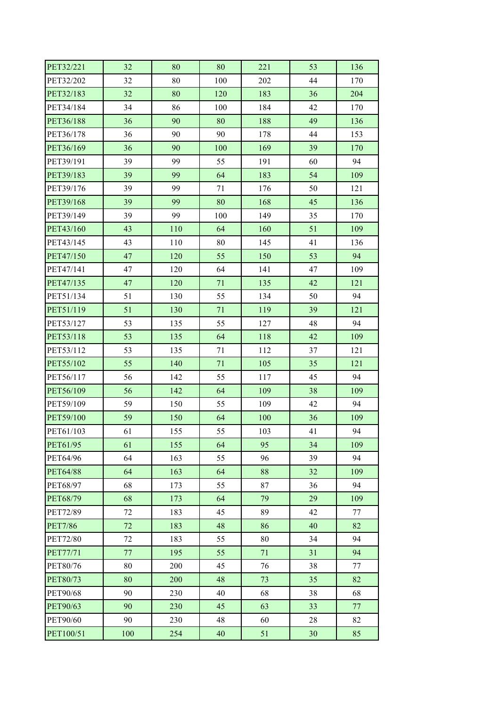| PET32/221       | 32     | 80  | 80  | 221    | 53 | 136 |
|-----------------|--------|-----|-----|--------|----|-----|
| PET32/202       | 32     | 80  | 100 | 202    | 44 | 170 |
| PET32/183       | 32     | 80  | 120 | 183    | 36 | 204 |
| PET34/184       | 34     | 86  | 100 | 184    | 42 | 170 |
| PET36/188       | 36     | 90  | 80  | 188    | 49 | 136 |
| PET36/178       | 36     | 90  | 90  | 178    | 44 | 153 |
| PET36/169       | 36     | 90  | 100 | 169    | 39 | 170 |
| PET39/191       | 39     | 99  | 55  | 191    | 60 | 94  |
| PET39/183       | 39     | 99  | 64  | 183    | 54 | 109 |
| PET39/176       | 39     | 99  | 71  | 176    | 50 | 121 |
| PET39/168       | 39     | 99  | 80  | 168    | 45 | 136 |
| PET39/149       | 39     | 99  | 100 | 149    | 35 | 170 |
| PET43/160       | 43     | 110 | 64  | 160    | 51 | 109 |
| PET43/145       | 43     | 110 | 80  | 145    | 41 | 136 |
| PET47/150       | 47     | 120 | 55  | 150    | 53 | 94  |
| PET47/141       | 47     | 120 | 64  | 141    | 47 | 109 |
| PET47/135       | 47     | 120 | 71  | 135    | 42 | 121 |
| PET51/134       | 51     | 130 | 55  | 134    | 50 | 94  |
| PET51/119       | 51     | 130 | 71  | 119    | 39 | 121 |
| PET53/127       | 53     | 135 | 55  | 127    | 48 | 94  |
| PET53/118       | 53     | 135 | 64  | 118    | 42 | 109 |
| PET53/112       | 53     | 135 | 71  | 112    | 37 | 121 |
| PET55/102       | 55     | 140 | 71  | 105    | 35 | 121 |
| PET56/117       | 56     | 142 | 55  | 117    | 45 | 94  |
| PET56/109       | 56     | 142 | 64  | 109    | 38 | 109 |
| PET59/109       | 59     | 150 | 55  | 109    | 42 | 94  |
| PET59/100       | 59     | 150 | 64  | 100    | 36 | 109 |
| PET61/103       | 61     | 155 | 55  | 103    | 41 | 94  |
| PET61/95        | 61     | 155 | 64  | 95     | 34 | 109 |
| PET64/96        | 64     | 163 | 55  | 96     | 39 | 94  |
| <b>PET64/88</b> | 64     | 163 | 64  | 88     | 32 | 109 |
| PET68/97        | 68     | 173 | 55  | $87\,$ | 36 | 94  |
| <b>PET68/79</b> | 68     | 173 | 64  | 79     | 29 | 109 |
| PET72/89        | 72     | 183 | 45  | 89     | 42 | 77  |
| <b>PET7/86</b>  | $72\,$ | 183 | 48  | 86     | 40 | 82  |
| <b>PET72/80</b> | $72\,$ | 183 | 55  | 80     | 34 | 94  |
| <b>PET77/71</b> | 77     | 195 | 55  | 71     | 31 | 94  |
| <b>PET80/76</b> | 80     | 200 | 45  | 76     | 38 | 77  |
| <b>PET80/73</b> | 80     | 200 | 48  | 73     | 35 | 82  |
| PET90/68        | 90     | 230 | 40  | 68     | 38 | 68  |
| <b>PET90/63</b> | 90     | 230 | 45  | 63     | 33 | 77  |
| <b>PET90/60</b> | 90     | 230 | 48  | 60     | 28 | 82  |
| PET100/51       | 100    | 254 | 40  | 51     | 30 | 85  |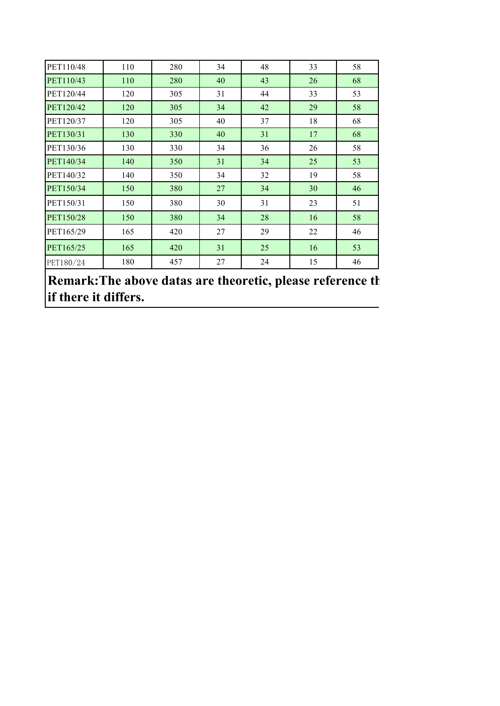| PET110/48 | 110 | 280 | 34 | 48 | 33 | 58 |
|-----------|-----|-----|----|----|----|----|
| PET110/43 | 110 | 280 | 40 | 43 | 26 | 68 |
| PET120/44 | 120 | 305 | 31 | 44 | 33 | 53 |
| PET120/42 | 120 | 305 | 34 | 42 | 29 | 58 |
| PET120/37 | 120 | 305 | 40 | 37 | 18 | 68 |
| PET130/31 | 130 | 330 | 40 | 31 | 17 | 68 |
| PET130/36 | 130 | 330 | 34 | 36 | 26 | 58 |
| PET140/34 | 140 | 350 | 31 | 34 | 25 | 53 |
| PET140/32 | 140 | 350 | 34 | 32 | 19 | 58 |
| PET150/34 | 150 | 380 | 27 | 34 | 30 | 46 |
| PET150/31 | 150 | 380 | 30 | 31 | 23 | 51 |
| PET150/28 | 150 | 380 | 34 | 28 | 16 | 58 |
| PET165/29 | 165 | 420 | 27 | 29 | 22 | 46 |
| PET165/25 | 165 | 420 | 31 | 25 | 16 | 53 |
| PET180/24 | 180 | 457 | 27 | 24 | 15 | 46 |

**Remark: The above datas are theoretic, please reference the <b>above** datas are theoretic, please reference the **if there it differs.**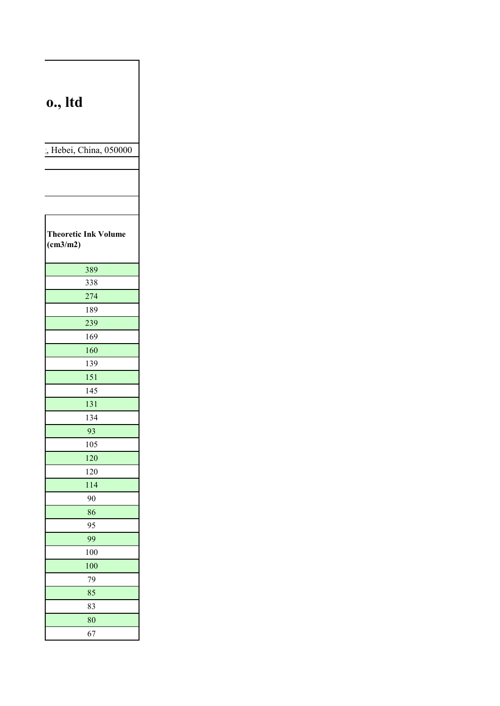## **Shipmers Shipmers Co., ltd**

, Hebei, China, 050000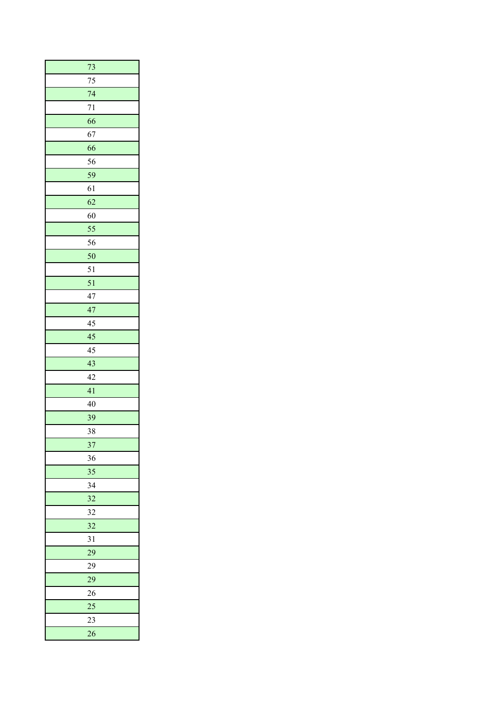| 73              |
|-----------------|
| 75              |
| 74              |
| 71              |
| 66              |
| 67              |
| 66              |
| 56              |
| 59              |
| 61              |
| 62              |
| 60              |
| 55              |
| 56              |
| 50              |
| 51              |
| 51              |
| 47              |
| 47              |
| 45              |
| 45              |
| 45              |
| 43              |
| 42              |
| 41              |
| 40              |
| 39              |
| 38              |
| 37              |
| 36              |
| 35              |
| 34              |
| 32              |
| 32              |
| 32              |
| 31              |
| 29              |
| 29              |
| 29              |
| 26<br>25        |
| $\overline{23}$ |
|                 |
| $\overline{26}$ |